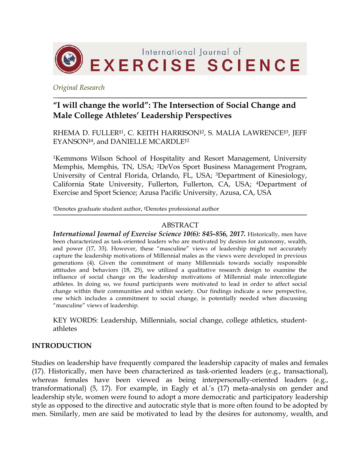

*Original Research*

# **"I will change the world": The Intersection of Social Change and Male College Athletes' Leadership Perspectives**

RHEMA D. FULLER‡1, C. KEITH HARRISON‡2, S. MALIA LAWRENCE‡3, JEFF EYANSON‡4, and DANIELLE MCARDLE†2

1Kemmons Wilson School of Hospitality and Resort Management, University Memphis, Memphis, TN, USA; 2DeVos Sport Business Management Program, University of Central Florida, Orlando, FL, USA; 3Department of Kinesiology, California State University, Fullerton, Fullerton, CA, USA; 4Department of Exercise and Sport Science; Azusa Pacific University, Azusa, CA, USA

†Denotes graduate student author, ‡Denotes professional author

#### ABSTRACT

*International Journal of Exercise Science 10(6): 845-856, 2017.* Historically, men have been characterized as task-oriented leaders who are motivated by desires for autonomy, wealth, and power (17, 33). However, these "masculine" views of leadership might not accurately capture the leadership motivations of Millennial males as the views were developed in previous generations (4). Given the commitment of many Millennials towards socially responsible attitudes and behaviors (18, 25), we utilized a qualitative research design to examine the influence of social change on the leadership motivations of Millennial male intercollegiate athletes. In doing so, we found participants were motivated to lead in order to affect social change within their communities and within society. Our findings indicate a new perspective, one which includes a commitment to social change, is potentially needed when discussing "masculine" views of leadership.

KEY WORDS: Leadership, Millennials, social change, college athletics, studentathletes

#### **INTRODUCTION**

Studies on leadership have frequently compared the leadership capacity of males and females (17). Historically, men have been characterized as task-oriented leaders (e.g., transactional), whereas females have been viewed as being interpersonally-oriented leaders (e.g., transformational) (5, 17). For example, in Eagly et al.'s (17) meta-analysis on gender and leadership style, women were found to adopt a more democratic and participatory leadership style as opposed to the directive and autocratic style that is more often found to be adopted by men. Similarly, men are said be motivated to lead by the desires for autonomy, wealth, and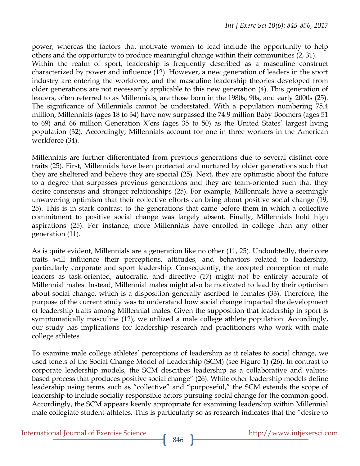power, whereas the factors that motivate women to lead include the opportunity to help others and the opportunity to produce meaningful change within their communities (2, 31). Within the realm of sport, leadership is frequently described as a masculine construct characterized by power and influence (12). However, a new generation of leaders in the sport industry are entering the workforce, and the masculine leadership theories developed from older generations are not necessarily applicable to this new generation (4). This generation of leaders, often referred to as Millennials, are those born in the 1980s, 90s, and early 2000s (25). The significance of Millennials cannot be understated. With a population numbering 75.4 million, Millennials (ages 18 to 34) have now surpassed the 74.9 million Baby Boomers (ages 51 to 69) and 66 million Generation X'ers (ages 35 to 50) as the United States' largest living population (32). Accordingly, Millennials account for one in three workers in the American workforce (34).

Millennials are further differentiated from previous generations due to several distinct core traits (25). First, Millennials have been protected and nurtured by older generations such that they are sheltered and believe they are special (25). Next, they are optimistic about the future to a degree that surpasses previous generations and they are team-oriented such that they desire consensus and stronger relationships (25). For example, Millennials have a seemingly unwavering optimism that their collective efforts can bring about positive social change (19, 25). This is in stark contrast to the generations that came before them in which a collective commitment to positive social change was largely absent. Finally, Millennials hold high aspirations (25). For instance, more Millennials have enrolled in college than any other generation (11).

As is quite evident, Millennials are a generation like no other (11, 25). Undoubtedly, their core traits will influence their perceptions, attitudes, and behaviors related to leadership, particularly corporate and sport leadership. Consequently, the accepted conception of male leaders as task-oriented, autocratic, and directive (17) might not be entirely accurate of Millennial males. Instead, Millennial males might also be motivated to lead by their optimism about social change, which is a disposition generally ascribed to females (33). Therefore, the purpose of the current study was to understand how social change impacted the development of leadership traits among Millennial males. Given the supposition that leadership in sport is symptomatically masculine (12), we utilized a male college athlete population. Accordingly, our study has implications for leadership research and practitioners who work with male college athletes.

To examine male college athletes' perceptions of leadership as it relates to social change, we used tenets of the Social Change Model of Leadership (SCM) (see Figure 1) (26). In contrast to corporate leadership models, the SCM describes leadership as a collaborative and valuesbased process that produces positive social change" (26). While other leadership models define leadership using terms such as "collective" and "purposeful," the SCM extends the scope of leadership to include socially responsible actors pursuing social change for the common good. Accordingly, the SCM appears keenly appropriate for examining leadership within Millennial male collegiate student-athletes. This is particularly so as research indicates that the "desire to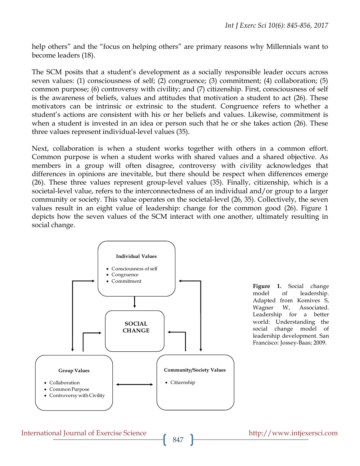help others" and the "focus on helping others" are primary reasons why Millennials want to become leaders (18).

The SCM posits that a student's development as a socially responsible leader occurs across seven values: (1) consciousness of self; (2) congruence; (3) commitment; (4) collaboration; (5) common purpose; (6) controversy with civility; and (7) citizenship. First, consciousness of self is the awareness of beliefs, values and attitudes that motivation a student to act (26). These motivators can be intrinsic or extrinsic to the student. Congruence refers to whether a student's actions are consistent with his or her beliefs and values. Likewise, commitment is when a student is invested in an idea or person such that he or she takes action (26). These three values represent individual-level values (35).

Next, collaboration is when a student works together with others in a common effort. Common purpose is when a student works with shared values and a shared objective. As members in a group will often disagree, controversy with civility acknowledges that differences in opinions are inevitable, but there should be respect when differences emerge (26). These three values represent group-level values (35). Finally, citizenship, which is a societal-level value, refers to the interconnectedness of an individual and/or group to a larger community or society. This value operates on the societal-level (26, 35). Collectively, the seven values result in an eight value of leadership: change for the common good (26). Figure 1 depicts how the seven values of the SCM interact with one another, ultimately resulting in social change.



**Figure 1.** Social change model of leadership. Adapted from Komives S, Wagner W, Associated. Leadership for a better world: Understanding the social change model of leadership development. San Francisco: Jossey-Baas; 2009.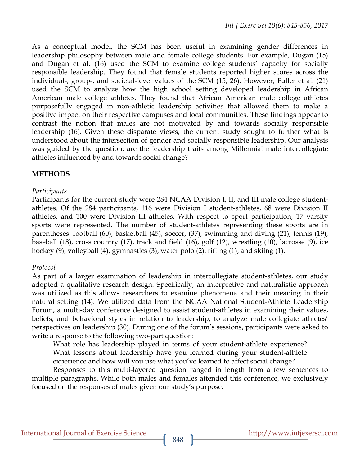As a conceptual model, the SCM has been useful in examining gender differences in leadership philosophy between male and female college students. For example, Dugan (15) and Dugan et al. (16) used the SCM to examine college students' capacity for socially responsible leadership. They found that female students reported higher scores across the individual-, group-, and societal-level values of the SCM (15, 26). However, Fuller et al. (21) used the SCM to analyze how the high school setting developed leadership in African American male college athletes. They found that African American male college athletes purposefully engaged in non-athletic leadership activities that allowed them to make a positive impact on their respective campuses and local communities. These findings appear to contrast the notion that males are not motivated by and towards socially responsible leadership (16). Given these disparate views, the current study sought to further what is understood about the intersection of gender and socially responsible leadership. Our analysis was guided by the question: are the leadership traits among Millennial male intercollegiate athletes influenced by and towards social change?

## **METHODS**

## *Participants*

Participants for the current study were 284 NCAA Division I, II, and III male college studentathletes. Of the 284 participants, 116 were Division I student-athletes, 68 were Division II athletes, and 100 were Division III athletes. With respect to sport participation, 17 varsity sports were represented. The number of student-athletes representing these sports are in parentheses: football (60), basketball (45), soccer, (37), swimming and diving (21), tennis (19), baseball (18), cross country (17), track and field (16), golf (12), wrestling (10), lacrosse (9), ice hockey (9), volleyball (4), gymnastics (3), water polo (2), rifling (1), and skiing (1).

#### *Protocol*

As part of a larger examination of leadership in intercollegiate student-athletes, our study adopted a qualitative research design. Specifically, an interpretive and naturalistic approach was utilized as this allows researchers to examine phenomena and their meaning in their natural setting (14). We utilized data from the NCAA National Student-Athlete Leadership Forum, a multi-day conference designed to assist student-athletes in examining their values, beliefs, and behavioral styles in relation to leadership, to analyze male collegiate athletes' perspectives on leadership (30). During one of the forum's sessions, participants were asked to write a response to the following two-part question:

What role has leadership played in terms of your student-athlete experience? What lessons about leadership have you learned during your student-athlete experience and how will you use what you've learned to affect social change?

Responses to this multi-layered question ranged in length from a few sentences to multiple paragraphs. While both males and females attended this conference, we exclusively focused on the responses of males given our study's purpose.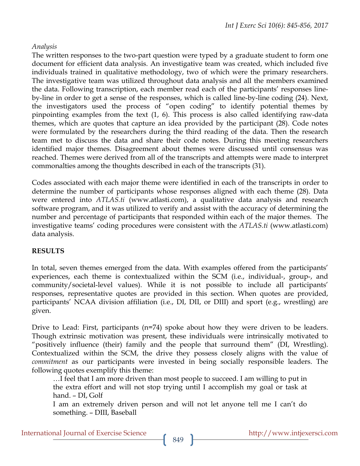#### *Analysis*

The written responses to the two-part question were typed by a graduate student to form one document for efficient data analysis. An investigative team was created, which included five individuals trained in qualitative methodology, two of which were the primary researchers. The investigative team was utilized throughout data analysis and all the members examined the data. Following transcription, each member read each of the participants' responses lineby-line in order to get a sense of the responses, which is called line-by-line coding (24). Next, the investigators used the process of "open coding" to identify potential themes by pinpointing examples from the text (1, 6). This process is also called identifying raw-data themes, which are quotes that capture an idea provided by the participant (28). Code notes were formulated by the researchers during the third reading of the data. Then the research team met to discuss the data and share their code notes. During this meeting researchers identified major themes. Disagreement about themes were discussed until consensus was reached. Themes were derived from all of the transcripts and attempts were made to interpret commonalties among the thoughts described in each of the transcripts (31).

Codes associated with each major theme were identified in each of the transcripts in order to determine the number of participants whose responses aligned with each theme (28). Data were entered into *ATLAS.ti* (www.atlasti.com), a qualitative data analysis and research software program, and it was utilized to verify and assist with the accuracy of determining the number and percentage of participants that responded within each of the major themes. The investigative teams' coding procedures were consistent with the *ATLAS.ti* (www.atlasti.com) data analysis.

#### **RESULTS**

In total, seven themes emerged from the data. With examples offered from the participants' experiences, each theme is contextualized within the SCM (i.e., individual-, group-, and community/societal-level values). While it is not possible to include all participants' responses, representative quotes are provided in this section. When quotes are provided, participants' NCAA division affiliation (i.e., DI, DII, or DIII) and sport (e.g., wrestling) are given.

Drive to Lead: First, participants (n=74) spoke about how they were driven to be leaders. Though extrinsic motivation was present, these individuals were intrinsically motivated to "positively influence (their) family and the people that surround them" (DI, Wrestling). Contextualized within the SCM, the drive they possess closely aligns with the value of *commitment* as our participants were invested in being socially responsible leaders. The following quotes exemplify this theme:

…I feel that I am more driven than most people to succeed. I am willing to put in the extra effort and will not stop trying until I accomplish my goal or task at hand. – DI, Golf

I am an extremely driven person and will not let anyone tell me I can't do something. – DIII, Baseball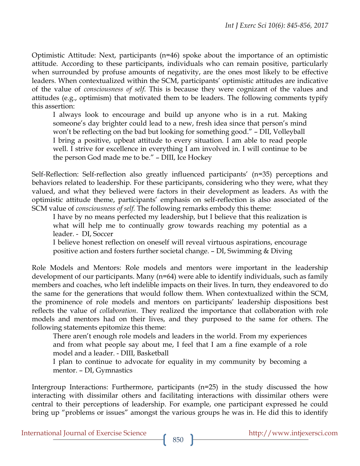Optimistic Attitude: Next, participants (n=46) spoke about the importance of an optimistic attitude. According to these participants, individuals who can remain positive, particularly when surrounded by profuse amounts of negativity, are the ones most likely to be effective leaders. When contextualized within the SCM, participants' optimistic attitudes are indicative of the value of *consciousness of self*. This is because they were cognizant of the values and attitudes (e.g., optimism) that motivated them to be leaders. The following comments typify this assertion:

I always look to encourage and build up anyone who is in a rut. Making someone's day brighter could lead to a new, fresh idea since that person's mind won't be reflecting on the bad but looking for something good." - DII, Volleyball I bring a positive, upbeat attitude to every situation. I am able to read people well. I strive for excellence in everything I am involved in. I will continue to be the person God made me to be." – DIII, Ice Hockey

Self-Reflection: Self-reflection also greatly influenced participants' (n=35) perceptions and behaviors related to leadership. For these participants, considering who they were, what they valued, and what they believed were factors in their development as leaders. As with the optimistic attitude theme, participants' emphasis on self-reflection is also associated of the SCM value of *consciousness of self.* The following remarks embody this theme:

I have by no means perfected my leadership, but I believe that this realization is what will help me to continually grow towards reaching my potential as a leader. - DI, Soccer

I believe honest reflection on oneself will reveal virtuous aspirations, encourage positive action and fosters further societal change. – DI, Swimming & Diving

Role Models and Mentors: Role models and mentors were important in the leadership development of our participants. Many (n=64) were able to identify individuals, such as family members and coaches, who left indelible impacts on their lives. In turn, they endeavored to do the same for the generations that would follow them. When contextualized within the SCM, the prominence of role models and mentors on participants' leadership dispositions best reflects the value of *collaboration*. They realized the importance that collaboration with role models and mentors had on their lives, and they purposed to the same for others. The following statements epitomize this theme:

There aren't enough role models and leaders in the world. From my experiences and from what people say about me, I feel that I am a fine example of a role model and a leader. - DIII, Basketball

I plan to continue to advocate for equality in my community by becoming a mentor. – DI, Gymnastics

Intergroup Interactions: Furthermore, participants (n=25) in the study discussed the how interacting with dissimilar others and facilitating interactions with dissimilar others were central to their perceptions of leadership. For example, one participant expressed he could bring up "problems or issues" amongst the various groups he was in. He did this to identify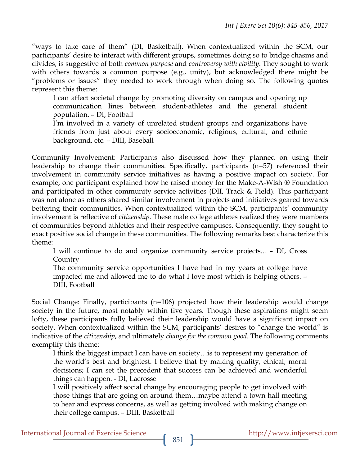"ways to take care of them" (DI, Basketball). When contextualized within the SCM, our participants' desire to interact with different groups, sometimes doing so to bridge chasms and divides, is suggestive of both *common purpose* and *controversy with civility*. They sought to work with others towards a common purpose (e.g., unity), but acknowledged there might be "problems or issues" they needed to work through when doing so. The following quotes represent this theme:

I can affect societal change by promoting diversity on campus and opening up communication lines between student-athletes and the general student population. – DI, Football

I'm involved in a variety of unrelated student groups and organizations have friends from just about every socioeconomic, religious, cultural, and ethnic background, etc. – DIII, Baseball

Community Involvement: Participants also discussed how they planned on using their leadership to change their communities. Specifically, participants (n=57) referenced their involvement in community service initiatives as having a positive impact on society. For example, one participant explained how he raised money for the Make-A-Wish ® Foundation and participated in other community service activities (DII, Track & Field). This participant was not alone as others shared similar involvement in projects and initiatives geared towards bettering their communities. When contextualized within the SCM, participants' community involvement is reflective of *citizenship*. These male college athletes realized they were members of communities beyond athletics and their respective campuses. Consequently, they sought to exact positive social change in these communities. The following remarks best characterize this theme:

I will continue to do and organize community service projects... – DI, Cross **Country** 

The community service opportunities I have had in my years at college have impacted me and allowed me to do what I love most which is helping others. – DIII, Football

Social Change: Finally, participants (n=106) projected how their leadership would change society in the future, most notably within five years. Though these aspirations might seem lofty, these participants fully believed their leadership would have a significant impact on society. When contextualized within the SCM, participants' desires to "change the world" is indicative of the *citizenship*, and ultimately *change for the common good*. The following comments exemplify this theme:

I think the biggest impact I can have on society…is to represent my generation of the world's best and brightest. I believe that by making quality, ethical, moral decisions; I can set the precedent that success can be achieved and wonderful things can happen. - DI, Lacrosse

I will positively affect social change by encouraging people to get involved with those things that are going on around them…maybe attend a town hall meeting to hear and express concerns, as well as getting involved with making change on their college campus. – DIII, Basketball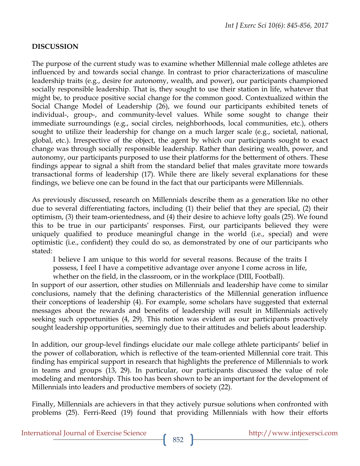# **DISCUSSION**

The purpose of the current study was to examine whether Millennial male college athletes are influenced by and towards social change. In contrast to prior characterizations of masculine leadership traits (e.g., desire for autonomy, wealth, and power), our participants championed socially responsible leadership. That is, they sought to use their station in life, whatever that might be, to produce positive social change for the common good. Contextualized within the Social Change Model of Leadership (26), we found our participants exhibited tenets of individual-, group-, and community-level values. While some sought to change their immediate surroundings (e.g., social circles, neighborhoods, local communities, etc.), others sought to utilize their leadership for change on a much larger scale (e.g., societal, national, global, etc.). Irrespective of the object, the agent by which our participants sought to exact change was through socially responsible leadership. Rather than desiring wealth, power, and autonomy, our participants purposed to use their platforms for the betterment of others. These findings appear to signal a shift from the standard belief that males gravitate more towards transactional forms of leadership (17). While there are likely several explanations for these findings, we believe one can be found in the fact that our participants were Millennials.

As previously discussed, research on Millennials describe them as a generation like no other due to several differentiating factors, including (1) their belief that they are special, (2) their optimism, (3) their team-orientedness, and (4) their desire to achieve lofty goals (25). We found this to be true in our participants' responses. First, our participants believed they were uniquely qualified to produce meaningful change in the world (i.e., special) and were optimistic (i.e., confident) they could do so, as demonstrated by one of our participants who stated:

I believe I am unique to this world for several reasons. Because of the traits I possess, I feel I have a competitive advantage over anyone I come across in life, whether on the field, in the classroom, or in the workplace (DIII, Football).

In support of our assertion, other studies on Millennials and leadership have come to similar conclusions, namely that the defining characteristics of the Millennial generation influence their conceptions of leadership (4). For example, some scholars have suggested that external messages about the rewards and benefits of leadership will result in Millennials actively seeking such opportunities (4, 29). This notion was evident as our participants proactively sought leadership opportunities, seemingly due to their attitudes and beliefs about leadership.

In addition, our group-level findings elucidate our male college athlete participants' belief in the power of collaboration, which is reflective of the team-oriented Millennial core trait. This finding has empirical support in research that highlights the preference of Millennials to work in teams and groups (13, 29). In particular, our participants discussed the value of role modeling and mentorship. This too has been shown to be an important for the development of Millennials into leaders and productive members of society (22).

Finally, Millennials are achievers in that they actively pursue solutions when confronted with problems (25). Ferri-Reed (19) found that providing Millennials with how their efforts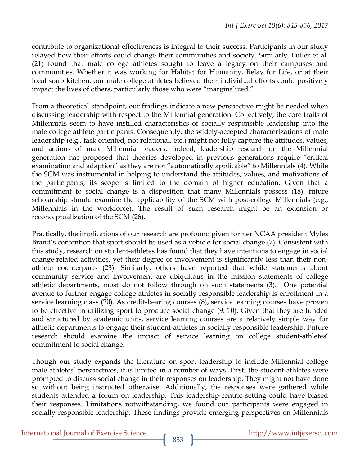contribute to organizational effectiveness is integral to their success. Participants in our study relayed how their efforts could change their communities and society. Similarly, Fuller et al. (21) found that male college athletes sought to leave a legacy on their campuses and communities. Whether it was working for Habitat for Humanity, Relay for Life, or at their local soup kitchen, our male college athletes believed their individual efforts could positively impact the lives of others, particularly those who were "marginalized."

From a theoretical standpoint, our findings indicate a new perspective might be needed when discussing leadership with respect to the Millennial generation. Collectively, the core traits of Millennials seem to have instilled characteristics of socially responsible leadership into the male college athlete participants. Consequently, the widely-accepted characterizations of male leadership (e.g., task oriented, not relational, etc.) might not fully capture the attitudes, values, and actions of male Millennial leaders. Indeed, leadership research on the Millennial generation has proposed that theories developed in previous generations require "critical examination and adaption" as they are not "automatically applicable" to Millennials (4). While the SCM was instrumental in helping to understand the attitudes, values, and motivations of the participants, its scope is limited to the domain of higher education. Given that a commitment to social change is a disposition that many Millennials possess (18), future scholarship should examine the applicability of the SCM with post-college Millennials (e.g., Millennials in the workforce). The result of such research might be an extension or reconceptualization of the SCM (26).

Practically, the implications of our research are profound given former NCAA president Myles Brand's contention that sport should be used as a vehicle for social change (7). Consistent with this study, research on student-athletes has found that they have intentions to engage in social change-related activities, yet their degree of involvement is significantly less than their nonathlete counterparts (23). Similarly, others have reported that while statements about community service and involvement are ubiquitous in the mission statements of college athletic departments, most do not follow through on such statements (3). One potential avenue to further engage college athletes in socially responsible leadership is enrollment in a service learning class (20). As credit-bearing courses (8), service learning courses have proven to be effective in utilizing sport to produce social change (9, 10). Given that they are funded and structured by academic units, service learning courses are a relatively simple way for athletic departments to engage their student-athletes in socially responsible leadership. Future research should examine the impact of service learning on college student-athletes' commitment to social change.

Though our study expands the literature on sport leadership to include Millennial college male athletes' perspectives, it is limited in a number of ways. First, the student-athletes were prompted to discuss social change in their responses on leadership. They might not have done so without being instructed otherwise. Additionally, the responses were gathered while students attended a forum on leadership. This leadership-centric setting could have biased their responses. Limitations notwithstanding, we found our participants were engaged in socially responsible leadership. These findings provide emerging perspectives on Millennials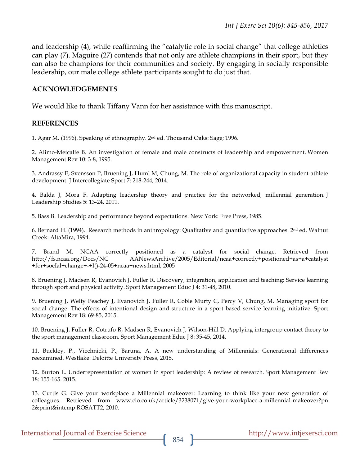and leadership (4), while reaffirming the "catalytic role in social change" that college athletics can play (7). Maguire (27) contends that not only are athlete champions in their sport, but they can also be champions for their communities and society. By engaging in socially responsible leadership, our male college athlete participants sought to do just that.

#### **ACKNOWLEDGEMENTS**

We would like to thank Tiffany Vann for her assistance with this manuscript.

#### **REFERENCES**

1. Agar M. (1996). Speaking of ethnography. 2nd ed. Thousand Oaks: Sage; 1996.

2. Alimo-Metcalfe B. An investigation of female and male constructs of leadership and empowerment. Women Management Rev 10: 3-8, 1995.

3. Andrassy E, Svensson P, Bruening J, Huml M, Chung, M. The role of organizational capacity in student-athlete development. J Intercollegiate Sport 7: 218-244, 2014.

4. Balda J, Mora F. Adapting leadership theory and practice for the networked, millennial generation. J Leadership Studies 5: 13-24, 2011.

5. Bass B. Leadership and performance beyond expectations. New York: Free Press, 1985.

6. Bernard H. (1994). Research methods in anthropology: Qualitative and quantitative approaches. 2nd ed. Walnut Creek: AltaMira, 1994.

7. Brand M. NCAA correctly positioned as a catalyst for social change. Retrieved from http://fs.ncaa.org/Docs/NC AANewsArchive/2005/Editorial/ncaa+correctly+positioned+as+a+catalyst +for+socIal+change+-+l()-24-05+ncaa+news.html, 2005

8. Bruening J, Madsen R, Evanovich J, Fuller R. Discovery, integration, application and teaching: Service learning through sport and physical activity. Sport Management Educ J 4: 31-48, 2010.

9. Bruening J, Welty Peachey J, Evanovich J, Fuller R, Coble Murty C, Percy V, Chung, M. Managing sport for social change: The effects of intentional design and structure in a sport based service learning initiative. Sport Management Rev 18: 69-85, 2015.

10. Bruening J, Fuller R, Cotrufo R, Madsen R, Evanovich J, Wilson-Hill D. Applying intergroup contact theory to the sport management classroom. Sport Management Educ J 8: 35-45, 2014.

11. Buckley, P., Viechnicki, P., Baruna, A. A new understanding of Millennials: Generational differences reexamined. Westlake: Deloitte University Press, 2015.

12. Burton L. Underrepresentation of women in sport leadership: A review of research. Sport Management Rev 18: 155-165. 2015.

13. Curtis G. Give your workplace a Millennial makeover: Learning to think like your new generation of colleagues. Retrieved from www.cio.co.uk/article/3238071/give-your-workplace-a-millennial-makeover?pn 2&print&intcmp ROSATT2, 2010.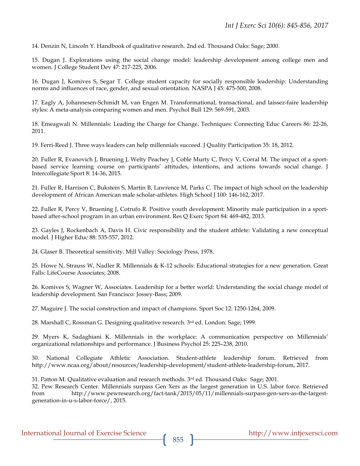14. Denzin N, Lincoln Y. Handbook of qualitative research. 2nd ed. Thousand Oaks: Sage; 2000.

15. Dugan J. Explorations using the social change model: leadership development among college men and women. J College Student Dev 47: 217-225, 2006.

16. Dugan J, Komives S, Segar T. College student capacity for socially responsible leadership: Understanding norms and influences of race, gender, and sexual orientation. NASPA J 45: 475-500, 2008.

17. Eagly A, Johannesen-Schmidt M, van Engen M. Transformational, transactional, and laissez-faire leadership styles: A meta-analysis comparing women and men. Psychol Bull 129: 569-591, 2003.

18. Emeagwali N. Millennials: Leading the Charge for Change. Techniques: Connecting Educ Careers 86: 22-26, 2011.

19. Ferri-Reed J. Three ways leaders can help millennials succeed. J Quality Participation 35: 18, 2012.

20. Fuller R, Evanovich J, Bruening J, Welty Peachey J, Coble Murty C, Percy V, Corral M. The impact of a sportbased service learning course on participants' attitudes, intentions, and actions towards social change. J Intercollegiate Sport 8: 14-36, 2015.

21. Fuller R, Harrison C, Bukstein S, Martin B, Lawrence M, Parks C. The impact of high school on the leadership development of African American male scholar-athletes. High School J 100: 146-162, 2017.

22. Fuller R, Percy V, Bruening J, Cotrufo R. Positive youth development: Minority male participation in a sportbased after-school program in an urban environment. Res Q Exerc Sport 84: 469-482, 2013.

23. Gayles J, Rockenbach A, Davis H. Civic responsibility and the student athlete: Validating a new conceptual model. J Higher Educ 88: 535-557, 2012.

24. Glaser B. Theoretical sensitivity. Mill Valley: Sociology Press, 1978.

25. Howe N, Strauss W, Nadler R. Millennials & K-12 schools: Educational strategies for a new generation. Great Falls: LifeCourse Associates; 2008.

26. Komives S, Wagner W, Associates. Leadership for a better world: Understanding the social change model of leadership development. San Francisco: Jossey-Bass; 2009.

27. Maguire J. The social construction and impact of champions. Sport Soc 12: 1250-1264, 2009.

28. Marshall C, Rossman G. Designing qualitative research. 3rd ed. London: Sage; 1999.

29. Myers K, Sadaghiani K. Millennials in the workplace: A communication perspective on Millennials' organizational relationships and performance. J Business Psychol 25: 225–238, 2010.

30. National Collegiate Athletic Association. Student-athlete leadership forum. Retrieved from http://www.ncaa.org/about/resources/leadership-development/student-athlete-leadership-forum, 2017.

31. Patton M. Qualitative evaluation and research methods. 3rd ed. Thousand Oaks: Sage; 2001.

32. Pew Research Center. Millennials surpass Gen Xers as the largest generation in U.S. labor force. Retrieved from http://www.pewresearch.org/fact-tank/2015/05/11/millennials-surpass-gen-xers-as-the-largestgeneration-in-u-s-labor-force/, 2015.